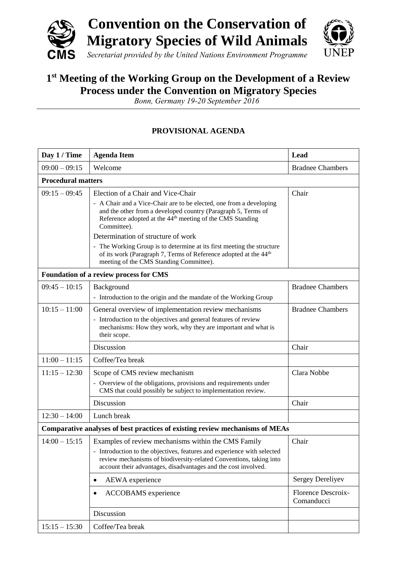

## **1 st Meeting of the Working Group on the Development of a Review Process under the Convention on Migratory Species**

*Bonn, Germany 19-20 September 2016*

## **PROVISIONAL AGENDA**

| Day 1 / Time                                                                 | <b>Agenda Item</b>                                                                                                                                                                                                                                                     | Lead                             |  |  |
|------------------------------------------------------------------------------|------------------------------------------------------------------------------------------------------------------------------------------------------------------------------------------------------------------------------------------------------------------------|----------------------------------|--|--|
| $09:00 - 09:15$                                                              | Welcome                                                                                                                                                                                                                                                                | <b>Bradnee Chambers</b>          |  |  |
| <b>Procedural matters</b>                                                    |                                                                                                                                                                                                                                                                        |                                  |  |  |
| $09:15 - 09:45$                                                              | Election of a Chair and Vice-Chair                                                                                                                                                                                                                                     | Chair                            |  |  |
|                                                                              | - A Chair and a Vice-Chair are to be elected, one from a developing<br>and the other from a developed country (Paragraph 5, Terms of<br>Reference adopted at the 44 <sup>th</sup> meeting of the CMS Standing<br>Committee).                                           |                                  |  |  |
|                                                                              | Determination of structure of work                                                                                                                                                                                                                                     |                                  |  |  |
|                                                                              | - The Working Group is to determine at its first meeting the structure<br>of its work (Paragraph 7, Terms of Reference adopted at the 44 <sup>th</sup><br>meeting of the CMS Standing Committee).                                                                      |                                  |  |  |
| <b>Foundation of a review process for CMS</b>                                |                                                                                                                                                                                                                                                                        |                                  |  |  |
| $09:45 - 10:15$                                                              | Background<br>- Introduction to the origin and the mandate of the Working Group                                                                                                                                                                                        | <b>Bradnee Chambers</b>          |  |  |
| $10:15 - 11:00$                                                              | General overview of implementation review mechanisms<br>- Introduction to the objectives and general features of review<br>mechanisms: How they work, why they are important and what is<br>their scope.                                                               | <b>Bradnee Chambers</b>          |  |  |
|                                                                              | Discussion                                                                                                                                                                                                                                                             | Chair                            |  |  |
| $11:00 - 11:15$                                                              | Coffee/Tea break                                                                                                                                                                                                                                                       |                                  |  |  |
| $11:15 - 12:30$                                                              | Scope of CMS review mechanism<br>- Overview of the obligations, provisions and requirements under<br>CMS that could possibly be subject to implementation review.                                                                                                      | Clara Nobbe                      |  |  |
|                                                                              | Discussion                                                                                                                                                                                                                                                             | Chair                            |  |  |
| $12:30 - 14:00$                                                              | Lunch break                                                                                                                                                                                                                                                            |                                  |  |  |
| Comparative analyses of best practices of existing review mechanisms of MEAs |                                                                                                                                                                                                                                                                        |                                  |  |  |
| $14:00 - 15:15$                                                              | Examples of review mechanisms within the CMS Family<br>- Introduction to the objectives, features and experience with selected<br>review mechanisms of biodiversity-related Conventions, taking into<br>account their advantages, disadvantages and the cost involved. | Chair                            |  |  |
|                                                                              | AEWA experience                                                                                                                                                                                                                                                        | Sergey Dereliyev                 |  |  |
|                                                                              | <b>ACCOBAMS</b> experience<br>$\bullet$                                                                                                                                                                                                                                | Florence Descroix-<br>Comanducci |  |  |
|                                                                              | Discussion                                                                                                                                                                                                                                                             |                                  |  |  |
| $15:15 - 15:30$                                                              | Coffee/Tea break                                                                                                                                                                                                                                                       |                                  |  |  |